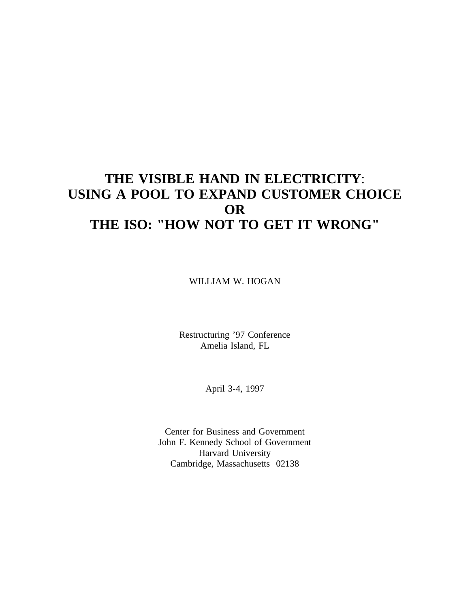# **THE VISIBLE HAND IN ELECTRICITY**: **USING A POOL TO EXPAND CUSTOMER CHOICE OR THE ISO: "HOW NOT TO GET IT WRONG"**

WILLIAM W. HOGAN

Restructuring '97 Conference Amelia Island, FL

April 3-4, 1997

Center for Business and Government John F. Kennedy School of Government Harvard University Cambridge, Massachusetts 02138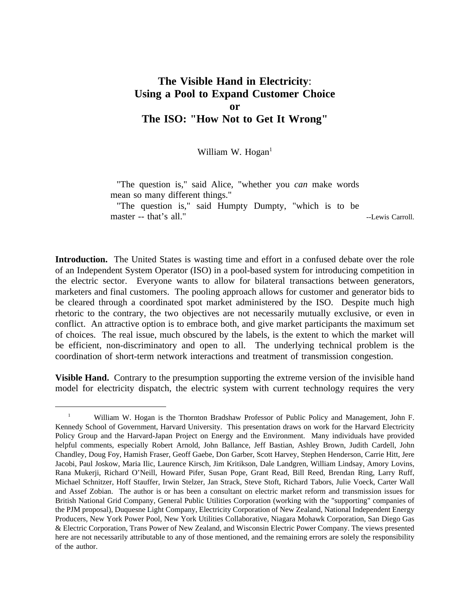## **The Visible Hand in Electricity**: **Using a Pool to Expand Customer Choice or The ISO: "How Not to Get It Wrong"**

William W. Hogan $<sup>1</sup>$ </sup>

"The question is," said Alice, "whether you *can* make words mean so many different things."

"The question is," said Humpty Dumpty, "which is to be master -- that's all." The contract of the contract of the contract of the contract of the contract of the contract of the contract of the contract of the contract of the contract of the contract of the contract of the con

**Introduction.** The United States is wasting time and effort in a confused debate over the role of an Independent System Operator (ISO) in a pool-based system for introducing competition in the electric sector. Everyone wants to allow for bilateral transactions between generators, marketers and final customers. The pooling approach allows for customer and generator bids to be cleared through a coordinated spot market administered by the ISO. Despite much high rhetoric to the contrary, the two objectives are not necessarily mutually exclusive, or even in conflict. An attractive option is to embrace both, and give market participants the maximum set of choices. The real issue, much obscured by the labels, is the extent to which the market will be efficient, non-discriminatory and open to all. The underlying technical problem is the coordination of short-term network interactions and treatment of transmission congestion.

**Visible Hand.** Contrary to the presumption supporting the extreme version of the invisible hand model for electricity dispatch, the electric system with current technology requires the very

<sup>&</sup>lt;sup>1</sup> William W. Hogan is the Thornton Bradshaw Professor of Public Policy and Management, John F. Kennedy School of Government, Harvard University. This presentation draws on work for the Harvard Electricity Policy Group and the Harvard-Japan Project on Energy and the Environment. Many individuals have provided helpful comments, especially Robert Arnold, John Ballance, Jeff Bastian, Ashley Brown, Judith Cardell, John Chandley, Doug Foy, Hamish Fraser, Geoff Gaebe, Don Garber, Scott Harvey, Stephen Henderson, Carrie Hitt, Jere Jacobi, Paul Joskow, Maria Ilic, Laurence Kirsch, Jim Kritikson, Dale Landgren, William Lindsay, Amory Lovins, Rana Mukerji, Richard O'Neill, Howard Pifer, Susan Pope, Grant Read, Bill Reed, Brendan Ring, Larry Ruff, Michael Schnitzer, Hoff Stauffer, Irwin Stelzer, Jan Strack, Steve Stoft, Richard Tabors, Julie Voeck, Carter Wall and Assef Zobian. The author is or has been a consultant on electric market reform and transmission issues for British National Grid Company, General Public Utilities Corporation (working with the "supporting" companies of the PJM proposal), Duquesne Light Company, Electricity Corporation of New Zealand, National Independent Energy Producers, New York Power Pool, New York Utilities Collaborative, Niagara Mohawk Corporation, San Diego Gas & Electric Corporation, Trans Power of New Zealand, and Wisconsin Electric Power Company. The views presented here are not necessarily attributable to any of those mentioned, and the remaining errors are solely the responsibility of the author.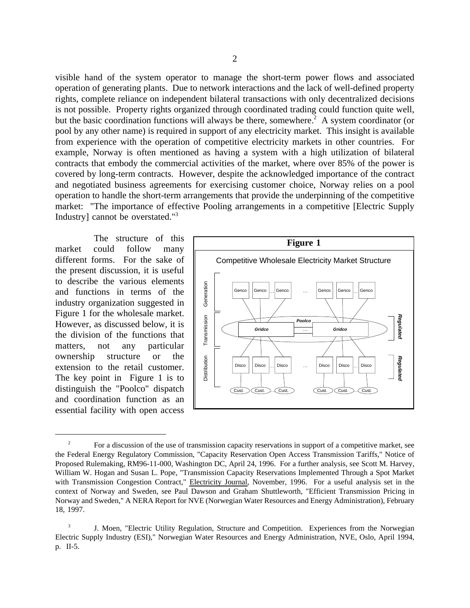visible hand of the system operator to manage the short-term power flows and associated operation of generating plants. Due to network interactions and the lack of well-defined property rights, complete reliance on independent bilateral transactions with only decentralized decisions is not possible. Property rights organized through coordinated trading could function quite well, but the basic coordination functions will always be there, somewhere.<sup>2</sup> A system coordinator (or pool by any other name) is required in support of any electricity market. This insight is available from experience with the operation of competitive electricity markets in other countries. For example, Norway is often mentioned as having a system with a high utilization of bilateral contracts that embody the commercial activities of the market, where over 85% of the power is covered by long-term contracts. However, despite the acknowledged importance of the contract and negotiated business agreements for exercising customer choice, Norway relies on a pool operation to handle the short-term arrangements that provide the underpinning of the competitive market: "The importance of effective Pooling arrangements in a competitive [Electric Supply Industry] cannot be overstated."3

The structure of this different forms. For the sake of the present discussion, it is useful to describe the various elements and functions in terms of the industry organization suggested in Figure 1 for the wholesale market. However, as discussed below, it is the division of the functions that matters, not any particular ownership structure or the extension to the retail customer. The key point in Figure 1 is to distinguish the "Poolco" dispatch and coordination function as an essential facility with open access



<sup>&</sup>lt;sup>2</sup> For a discussion of the use of transmission capacity reservations in support of a competitive market, see the Federal Energy Regulatory Commission, "Capacity Reservation Open Access Transmission Tariffs," Notice of Proposed Rulemaking, RM96-11-000, Washington DC, April 24, 1996. For a further analysis, see Scott M. Harvey, William W. Hogan and Susan L. Pope, "Transmission Capacity Reservations Implemented Through a Spot Market with Transmission Congestion Contract," Electricity Journal, November, 1996. For a useful analysis set in the context of Norway and Sweden, see Paul Dawson and Graham Shuttleworth, "Efficient Transmission Pricing in Norway and Sweden," A NERA Report for NVE (Norwegian Water Resources and Energy Administration), February 18, 1997.

<sup>&</sup>lt;sup>3</sup> J. Moen, "Electric Utility Regulation, Structure and Competition. Experiences from the Norwegian Electric Supply Industry (ESI)," Norwegian Water Resources and Energy Administration, NVE, Oslo, April 1994, p. II-5.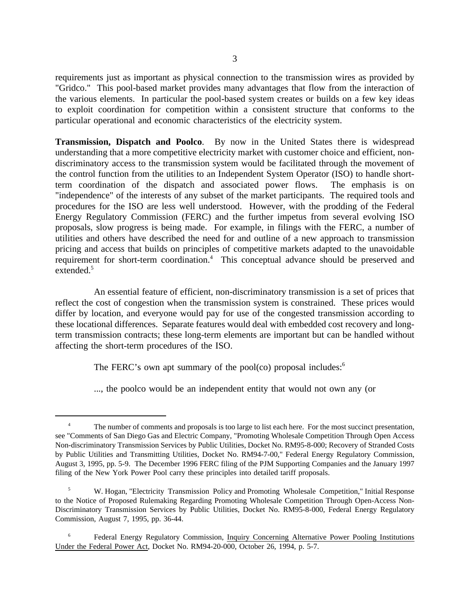requirements just as important as physical connection to the transmission wires as provided by "Gridco." This pool-based market provides many advantages that flow from the interaction of the various elements. In particular the pool-based system creates or builds on a few key ideas to exploit coordination for competition within a consistent structure that conforms to the particular operational and economic characteristics of the electricity system.

**Transmission, Dispatch and Poolco**. By now in the United States there is widespread understanding that a more competitive electricity market with customer choice and efficient, nondiscriminatory access to the transmission system would be facilitated through the movement of the control function from the utilities to an Independent System Operator (ISO) to handle shortterm coordination of the dispatch and associated power flows. The emphasis is on "independence" of the interests of any subset of the market participants. The required tools and procedures for the ISO are less well understood. However, with the prodding of the Federal Energy Regulatory Commission (FERC) and the further impetus from several evolving ISO proposals, slow progress is being made. For example, in filings with the FERC, a number of utilities and others have described the need for and outline of a new approach to transmission pricing and access that builds on principles of competitive markets adapted to the unavoidable requirement for short-term coordination.<sup>4</sup> This conceptual advance should be preserved and extended.<sup>5</sup>

An essential feature of efficient, non-discriminatory transmission is a set of prices that reflect the cost of congestion when the transmission system is constrained. These prices would differ by location, and everyone would pay for use of the congested transmission according to these locational differences. Separate features would deal with embedded cost recovery and longterm transmission contracts; these long-term elements are important but can be handled without affecting the short-term procedures of the ISO.

The FERC's own apt summary of the pool(co) proposal includes:<sup>6</sup>

..., the poolco would be an independent entity that would not own any (or

<sup>&</sup>lt;sup>4</sup> The number of comments and proposals is too large to list each here. For the most succinct presentation, see "Comments of San Diego Gas and Electric Company, "Promoting Wholesale Competition Through Open Access Non-discriminatory Transmission Services by Public Utilities, Docket No. RM95-8-000; Recovery of Stranded Costs by Public Utilities and Transmitting Utilities, Docket No. RM94-7-00," Federal Energy Regulatory Commission, August 3, 1995, pp. 5-9. The December 1996 FERC filing of the PJM Supporting Companies and the January 1997 filing of the New York Power Pool carry these principles into detailed tariff proposals.

<sup>5</sup> W. Hogan, "Electricity Transmission Policy and Promoting Wholesale Competition," Initial Response to the Notice of Proposed Rulemaking Regarding Promoting Wholesale Competition Through Open-Access Non-Discriminatory Transmission Services by Public Utilities, Docket No. RM95-8-000, Federal Energy Regulatory Commission, August 7, 1995, pp. 36-44.

<sup>6</sup> Federal Energy Regulatory Commission, Inquiry Concerning Alternative Power Pooling Institutions Under the Federal Power Act, Docket No. RM94-20-000, October 26, 1994, p. 5-7.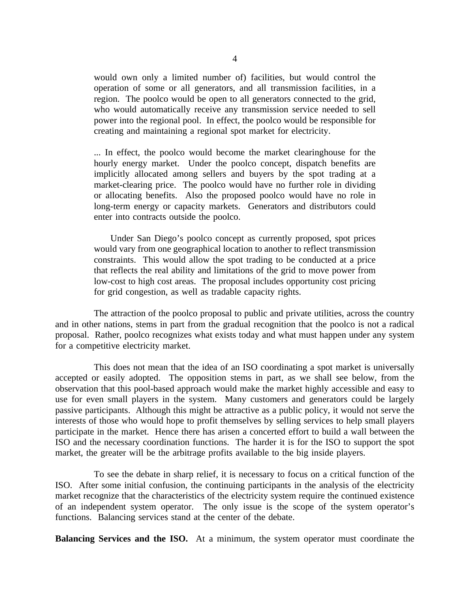would own only a limited number of) facilities, but would control the operation of some or all generators, and all transmission facilities, in a region. The poolco would be open to all generators connected to the grid, who would automatically receive any transmission service needed to sell power into the regional pool. In effect, the poolco would be responsible for creating and maintaining a regional spot market for electricity.

... In effect, the poolco would become the market clearinghouse for the hourly energy market. Under the poolco concept, dispatch benefits are implicitly allocated among sellers and buyers by the spot trading at a market-clearing price. The poolco would have no further role in dividing or allocating benefits. Also the proposed poolco would have no role in long-term energy or capacity markets. Generators and distributors could enter into contracts outside the poolco.

Under San Diego's poolco concept as currently proposed, spot prices would vary from one geographical location to another to reflect transmission constraints. This would allow the spot trading to be conducted at a price that reflects the real ability and limitations of the grid to move power from low-cost to high cost areas. The proposal includes opportunity cost pricing for grid congestion, as well as tradable capacity rights.

The attraction of the poolco proposal to public and private utilities, across the country and in other nations, stems in part from the gradual recognition that the poolco is not a radical proposal. Rather, poolco recognizes what exists today and what must happen under any system for a competitive electricity market.

This does not mean that the idea of an ISO coordinating a spot market is universally accepted or easily adopted. The opposition stems in part, as we shall see below, from the observation that this pool-based approach would make the market highly accessible and easy to use for even small players in the system. Many customers and generators could be largely passive participants. Although this might be attractive as a public policy, it would not serve the interests of those who would hope to profit themselves by selling services to help small players participate in the market. Hence there has arisen a concerted effort to build a wall between the ISO and the necessary coordination functions. The harder it is for the ISO to support the spot market, the greater will be the arbitrage profits available to the big inside players.

To see the debate in sharp relief, it is necessary to focus on a critical function of the ISO. After some initial confusion, the continuing participants in the analysis of the electricity market recognize that the characteristics of the electricity system require the continued existence of an independent system operator. The only issue is the scope of the system operator's functions. Balancing services stand at the center of the debate.

**Balancing Services and the ISO.** At a minimum, the system operator must coordinate the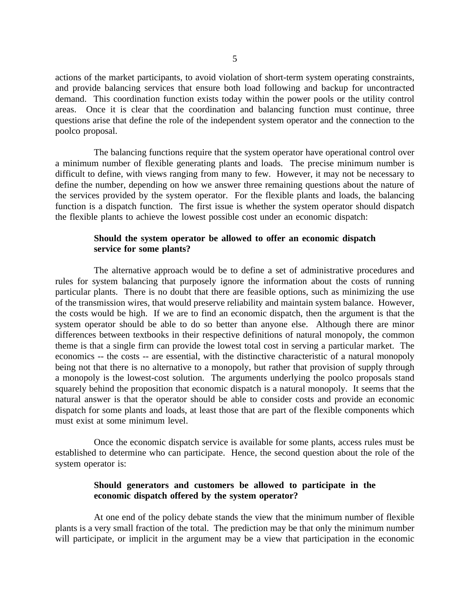actions of the market participants, to avoid violation of short-term system operating constraints, and provide balancing services that ensure both load following and backup for uncontracted demand. This coordination function exists today within the power pools or the utility control areas. Once it is clear that the coordination and balancing function must continue, three questions arise that define the role of the independent system operator and the connection to the poolco proposal.

The balancing functions require that the system operator have operational control over a minimum number of flexible generating plants and loads. The precise minimum number is difficult to define, with views ranging from many to few. However, it may not be necessary to define the number, depending on how we answer three remaining questions about the nature of the services provided by the system operator. For the flexible plants and loads, the balancing function is a dispatch function. The first issue is whether the system operator should dispatch the flexible plants to achieve the lowest possible cost under an economic dispatch:

## **Should the system operator be allowed to offer an economic dispatch service for some plants?**

The alternative approach would be to define a set of administrative procedures and rules for system balancing that purposely ignore the information about the costs of running particular plants. There is no doubt that there are feasible options, such as minimizing the use of the transmission wires, that would preserve reliability and maintain system balance. However, the costs would be high. If we are to find an economic dispatch, then the argument is that the system operator should be able to do so better than anyone else. Although there are minor differences between textbooks in their respective definitions of natural monopoly, the common theme is that a single firm can provide the lowest total cost in serving a particular market. The economics -- the costs -- are essential, with the distinctive characteristic of a natural monopoly being not that there is no alternative to a monopoly, but rather that provision of supply through a monopoly is the lowest-cost solution. The arguments underlying the poolco proposals stand squarely behind the proposition that economic dispatch is a natural monopoly. It seems that the natural answer is that the operator should be able to consider costs and provide an economic dispatch for some plants and loads, at least those that are part of the flexible components which must exist at some minimum level.

Once the economic dispatch service is available for some plants, access rules must be established to determine who can participate. Hence, the second question about the role of the system operator is:

## **Should generators and customers be allowed to participate in the economic dispatch offered by the system operator?**

At one end of the policy debate stands the view that the minimum number of flexible plants is a very small fraction of the total. The prediction may be that only the minimum number will participate, or implicit in the argument may be a view that participation in the economic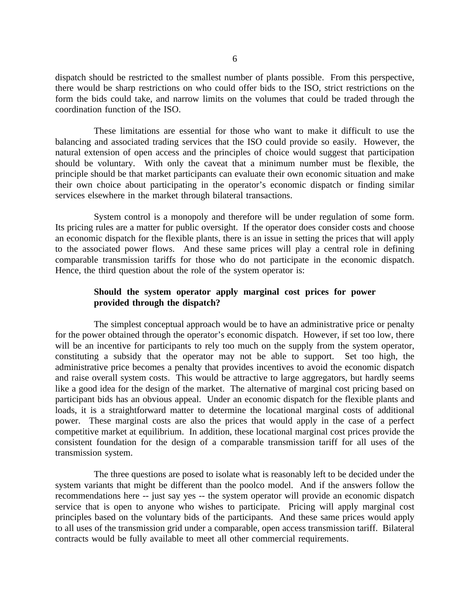dispatch should be restricted to the smallest number of plants possible. From this perspective, there would be sharp restrictions on who could offer bids to the ISO, strict restrictions on the form the bids could take, and narrow limits on the volumes that could be traded through the coordination function of the ISO.

These limitations are essential for those who want to make it difficult to use the balancing and associated trading services that the ISO could provide so easily. However, the natural extension of open access and the principles of choice would suggest that participation should be voluntary. With only the caveat that a minimum number must be flexible, the principle should be that market participants can evaluate their own economic situation and make their own choice about participating in the operator's economic dispatch or finding similar services elsewhere in the market through bilateral transactions.

System control is a monopoly and therefore will be under regulation of some form. Its pricing rules are a matter for public oversight. If the operator does consider costs and choose an economic dispatch for the flexible plants, there is an issue in setting the prices that will apply to the associated power flows. And these same prices will play a central role in defining comparable transmission tariffs for those who do not participate in the economic dispatch. Hence, the third question about the role of the system operator is:

## **Should the system operator apply marginal cost prices for power provided through the dispatch?**

The simplest conceptual approach would be to have an administrative price or penalty for the power obtained through the operator's economic dispatch. However, if set too low, there will be an incentive for participants to rely too much on the supply from the system operator, constituting a subsidy that the operator may not be able to support. Set too high, the administrative price becomes a penalty that provides incentives to avoid the economic dispatch and raise overall system costs. This would be attractive to large aggregators, but hardly seems like a good idea for the design of the market. The alternative of marginal cost pricing based on participant bids has an obvious appeal. Under an economic dispatch for the flexible plants and loads, it is a straightforward matter to determine the locational marginal costs of additional power. These marginal costs are also the prices that would apply in the case of a perfect competitive market at equilibrium. In addition, these locational marginal cost prices provide the consistent foundation for the design of a comparable transmission tariff for all uses of the transmission system.

The three questions are posed to isolate what is reasonably left to be decided under the system variants that might be different than the poolco model. And if the answers follow the recommendations here -- just say yes -- the system operator will provide an economic dispatch service that is open to anyone who wishes to participate. Pricing will apply marginal cost principles based on the voluntary bids of the participants. And these same prices would apply to all uses of the transmission grid under a comparable, open access transmission tariff. Bilateral contracts would be fully available to meet all other commercial requirements.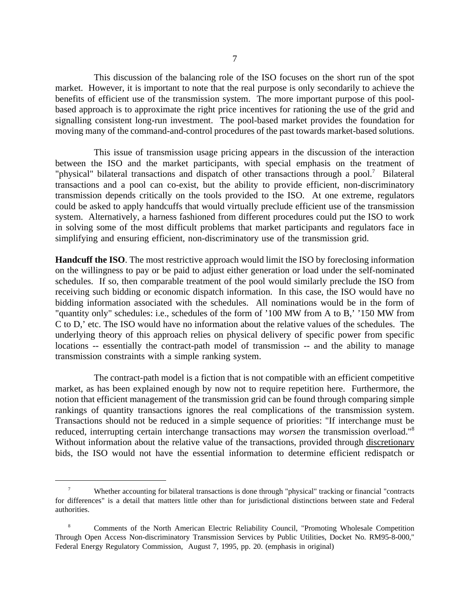This discussion of the balancing role of the ISO focuses on the short run of the spot market. However, it is important to note that the real purpose is only secondarily to achieve the benefits of efficient use of the transmission system. The more important purpose of this poolbased approach is to approximate the right price incentives for rationing the use of the grid and signalling consistent long-run investment. The pool-based market provides the foundation for moving many of the command-and-control procedures of the past towards market-based solutions.

This issue of transmission usage pricing appears in the discussion of the interaction between the ISO and the market participants, with special emphasis on the treatment of "physical" bilateral transactions and dispatch of other transactions through a pool.<sup>7</sup> Bilateral transactions and a pool can co-exist, but the ability to provide efficient, non-discriminatory transmission depends critically on the tools provided to the ISO. At one extreme, regulators could be asked to apply handcuffs that would virtually preclude efficient use of the transmission system. Alternatively, a harness fashioned from different procedures could put the ISO to work in solving some of the most difficult problems that market participants and regulators face in simplifying and ensuring efficient, non-discriminatory use of the transmission grid.

**Handcuff the ISO**. The most restrictive approach would limit the ISO by foreclosing information on the willingness to pay or be paid to adjust either generation or load under the self-nominated schedules. If so, then comparable treatment of the pool would similarly preclude the ISO from receiving such bidding or economic dispatch information. In this case, the ISO would have no bidding information associated with the schedules. All nominations would be in the form of "quantity only" schedules: i.e., schedules of the form of '100 MW from A to B,' '150 MW from C to D,' etc. The ISO would have no information about the relative values of the schedules. The underlying theory of this approach relies on physical delivery of specific power from specific locations -- essentially the contract-path model of transmission -- and the ability to manage transmission constraints with a simple ranking system.

The contract-path model is a fiction that is not compatible with an efficient competitive market, as has been explained enough by now not to require repetition here. Furthermore, the notion that efficient management of the transmission grid can be found through comparing simple rankings of quantity transactions ignores the real complications of the transmission system. Transactions should not be reduced in a simple sequence of priorities: "If interchange must be reduced, interrupting certain interchange transactions may *worsen* the transmission overload."8 Without information about the relative value of the transactions, provided through discretionary bids, the ISO would not have the essential information to determine efficient redispatch or

<sup>7</sup> Whether accounting for bilateral transactions is done through "physical" tracking or financial "contracts for differences" is a detail that matters little other than for jurisdictional distinctions between state and Federal authorities.

<sup>8</sup> Comments of the North American Electric Reliability Council, "Promoting Wholesale Competition Through Open Access Non-discriminatory Transmission Services by Public Utilities, Docket No. RM95-8-000," Federal Energy Regulatory Commission, August 7, 1995, pp. 20. (emphasis in original)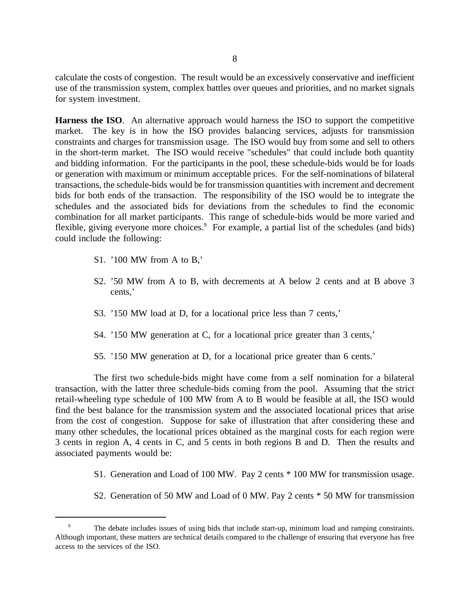calculate the costs of congestion. The result would be an excessively conservative and inefficient use of the transmission system, complex battles over queues and priorities, and no market signals for system investment.

**Harness the ISO**. An alternative approach would harness the ISO to support the competitive market. The key is in how the ISO provides balancing services, adjusts for transmission constraints and charges for transmission usage. The ISO would buy from some and sell to others in the short-term market. The ISO would receive "schedules" that could include both quantity and bidding information. For the participants in the pool, these schedule-bids would be for loads or generation with maximum or minimum acceptable prices. For the self-nominations of bilateral transactions, the schedule-bids would be for transmission quantities with increment and decrement bids for both ends of the transaction. The responsibility of the ISO would be to integrate the schedules and the associated bids for deviations from the schedules to find the economic combination for all market participants. This range of schedule-bids would be more varied and flexible, giving everyone more choices.<sup>9</sup> For example, a partial list of the schedules (and bids) could include the following:

- S1. '100 MW from A to B,'
- S2. '50 MW from A to B, with decrements at A below 2 cents and at B above 3 cents,'
- S3. '150 MW load at D, for a locational price less than 7 cents,'
- S4. '150 MW generation at C, for a locational price greater than 3 cents,'
- S5. '150 MW generation at D, for a locational price greater than 6 cents.'

The first two schedule-bids might have come from a self nomination for a bilateral transaction, with the latter three schedule-bids coming from the pool. Assuming that the strict retail-wheeling type schedule of 100 MW from A to B would be feasible at all, the ISO would find the best balance for the transmission system and the associated locational prices that arise from the cost of congestion. Suppose for sake of illustration that after considering these and many other schedules, the locational prices obtained as the marginal costs for each region were 3 cents in region A, 4 cents in C, and 5 cents in both regions B and D. Then the results and associated payments would be:

- S1. Generation and Load of 100 MW. Pay 2 cents \* 100 MW for transmission usage.
- S2. Generation of 50 MW and Load of 0 MW. Pay 2 cents \* 50 MW for transmission

The debate includes issues of using bids that include start-up, minimum load and ramping constraints. Although important, these matters are technical details compared to the challenge of ensuring that everyone has free access to the services of the ISO.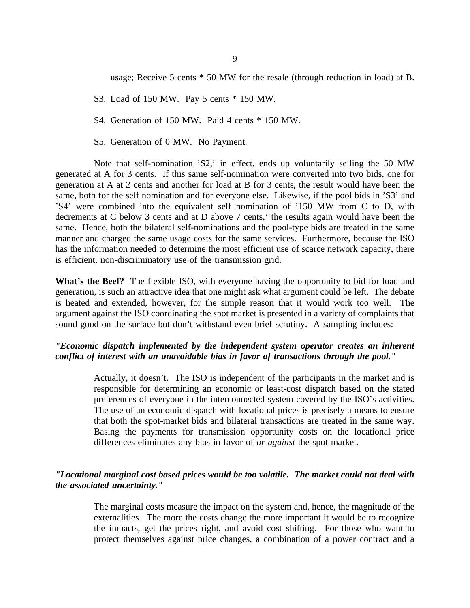usage; Receive 5 cents \* 50 MW for the resale (through reduction in load) at B.

- S3. Load of 150 MW. Pay 5 cents \* 150 MW.
- S4. Generation of 150 MW. Paid 4 cents \* 150 MW.
- S5. Generation of 0 MW. No Payment.

Note that self-nomination 'S2,' in effect, ends up voluntarily selling the 50 MW generated at A for 3 cents. If this same self-nomination were converted into two bids, one for generation at A at 2 cents and another for load at B for 3 cents, the result would have been the same, both for the self nomination and for everyone else. Likewise, if the pool bids in 'S3' and 'S4' were combined into the equivalent self nomination of '150 MW from C to D, with decrements at C below 3 cents and at D above 7 cents,' the results again would have been the same. Hence, both the bilateral self-nominations and the pool-type bids are treated in the same manner and charged the same usage costs for the same services. Furthermore, because the ISO has the information needed to determine the most efficient use of scarce network capacity, there is efficient, non-discriminatory use of the transmission grid.

**What's the Beef?** The flexible ISO, with everyone having the opportunity to bid for load and generation, is such an attractive idea that one might ask what argument could be left. The debate is heated and extended, however, for the simple reason that it would work too well. The argument against the ISO coordinating the spot market is presented in a variety of complaints that sound good on the surface but don't withstand even brief scrutiny. A sampling includes:

## *"Economic dispatch implemented by the independent system operator creates an inherent conflict of interest with an unavoidable bias in favor of transactions through the pool."*

Actually, it doesn't. The ISO is independent of the participants in the market and is responsible for determining an economic or least-cost dispatch based on the stated preferences of everyone in the interconnected system covered by the ISO's activities. The use of an economic dispatch with locational prices is precisely a means to ensure that both the spot-market bids and bilateral transactions are treated in the same way. Basing the payments for transmission opportunity costs on the locational price differences eliminates any bias in favor of *or against* the spot market.

## *"Locational marginal cost based prices would be too volatile. The market could not deal with the associated uncertainty."*

The marginal costs measure the impact on the system and, hence, the magnitude of the externalities. The more the costs change the more important it would be to recognize the impacts, get the prices right, and avoid cost shifting. For those who want to protect themselves against price changes, a combination of a power contract and a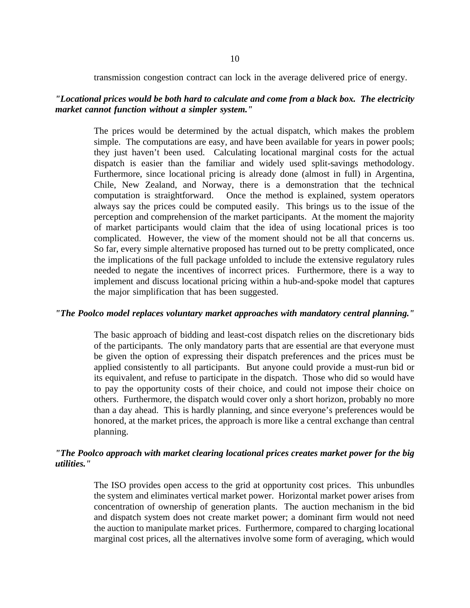transmission congestion contract can lock in the average delivered price of energy.

## *"Locational prices would be both hard to calculate and come from a black box. The electricity market cannot function without a simpler system."*

The prices would be determined by the actual dispatch, which makes the problem simple. The computations are easy, and have been available for years in power pools; they just haven't been used. Calculating locational marginal costs for the actual dispatch is easier than the familiar and widely used split-savings methodology. Furthermore, since locational pricing is already done (almost in full) in Argentina, Chile, New Zealand, and Norway, there is a demonstration that the technical computation is straightforward. Once the method is explained, system operators always say the prices could be computed easily. This brings us to the issue of the perception and comprehension of the market participants. At the moment the majority of market participants would claim that the idea of using locational prices is too complicated. However, the view of the moment should not be all that concerns us. So far, every simple alternative proposed has turned out to be pretty complicated, once the implications of the full package unfolded to include the extensive regulatory rules needed to negate the incentives of incorrect prices. Furthermore, there is a way to implement and discuss locational pricing within a hub-and-spoke model that captures the major simplification that has been suggested.

#### *"The Poolco model replaces voluntary market approaches with mandatory central planning."*

The basic approach of bidding and least-cost dispatch relies on the discretionary bids of the participants. The only mandatory parts that are essential are that everyone must be given the option of expressing their dispatch preferences and the prices must be applied consistently to all participants. But anyone could provide a must-run bid or its equivalent, and refuse to participate in the dispatch. Those who did so would have to pay the opportunity costs of their choice, and could not impose their choice on others. Furthermore, the dispatch would cover only a short horizon, probably no more than a day ahead. This is hardly planning, and since everyone's preferences would be honored, at the market prices, the approach is more like a central exchange than central planning.

## *"The Poolco approach with market clearing locational prices creates market power for the big utilities."*

The ISO provides open access to the grid at opportunity cost prices. This unbundles the system and eliminates vertical market power. Horizontal market power arises from concentration of ownership of generation plants. The auction mechanism in the bid and dispatch system does not create market power; a dominant firm would not need the auction to manipulate market prices. Furthermore, compared to charging locational marginal cost prices, all the alternatives involve some form of averaging, which would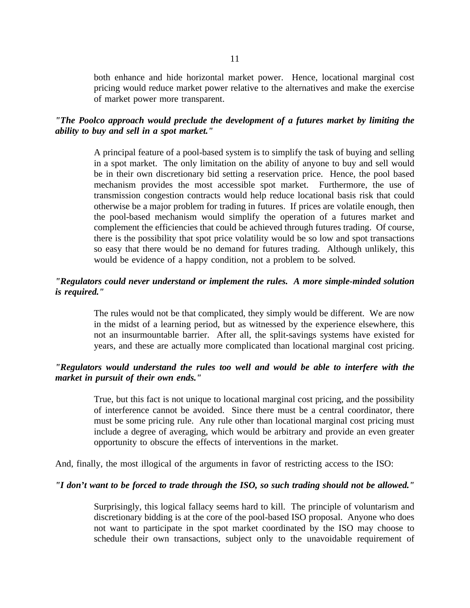both enhance and hide horizontal market power. Hence, locational marginal cost pricing would reduce market power relative to the alternatives and make the exercise of market power more transparent.

## *"The Poolco approach would preclude the development of a futures market by limiting the ability to buy and sell in a spot market."*

A principal feature of a pool-based system is to simplify the task of buying and selling in a spot market. The only limitation on the ability of anyone to buy and sell would be in their own discretionary bid setting a reservation price. Hence, the pool based mechanism provides the most accessible spot market. Furthermore, the use of transmission congestion contracts would help reduce locational basis risk that could otherwise be a major problem for trading in futures. If prices are volatile enough, then the pool-based mechanism would simplify the operation of a futures market and complement the efficiencies that could be achieved through futures trading. Of course, there is the possibility that spot price volatility would be so low and spot transactions so easy that there would be no demand for futures trading. Although unlikely, this would be evidence of a happy condition, not a problem to be solved.

## *"Regulators could never understand or implement the rules. A more simple-minded solution is required."*

The rules would not be that complicated, they simply would be different. We are now in the midst of a learning period, but as witnessed by the experience elsewhere, this not an insurmountable barrier. After all, the split-savings systems have existed for years, and these are actually more complicated than locational marginal cost pricing.

## *"Regulators would understand the rules too well and would be able to interfere with the market in pursuit of their own ends."*

True, but this fact is not unique to locational marginal cost pricing, and the possibility of interference cannot be avoided. Since there must be a central coordinator, there must be some pricing rule. Any rule other than locational marginal cost pricing must include a degree of averaging, which would be arbitrary and provide an even greater opportunity to obscure the effects of interventions in the market.

And, finally, the most illogical of the arguments in favor of restricting access to the ISO:

#### *"I don't want to be forced to trade through the ISO, so such trading should not be allowed."*

Surprisingly, this logical fallacy seems hard to kill. The principle of voluntarism and discretionary bidding is at the core of the pool-based ISO proposal. Anyone who does not want to participate in the spot market coordinated by the ISO may choose to schedule their own transactions, subject only to the unavoidable requirement of